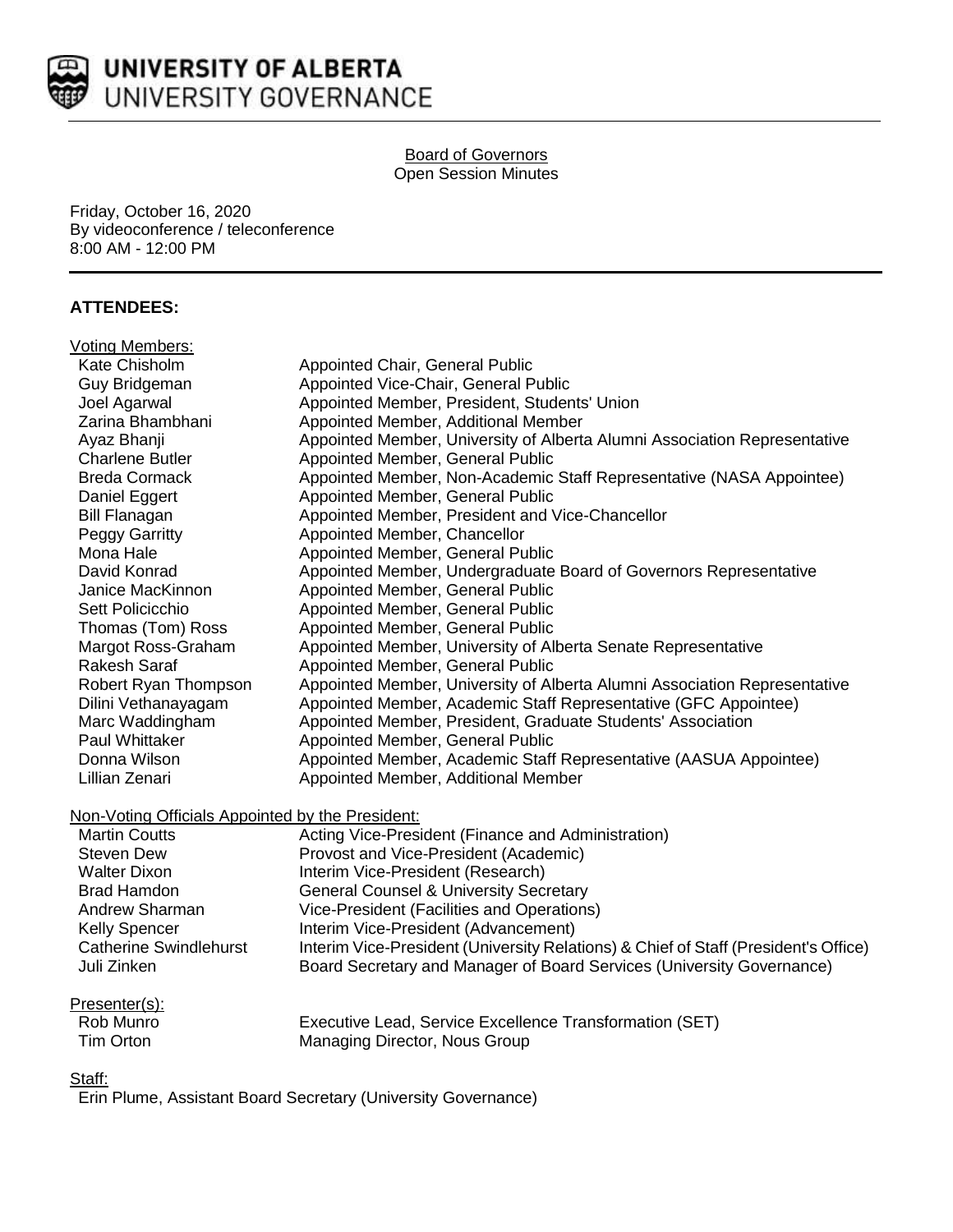

## Board of Governors Open Session Minutes

Friday, October 16, 2020 By videoconference / teleconference 8:00 AM - 12:00 PM

# **ATTENDEES:**

| Voting Members:                                  |                                                                                     |
|--------------------------------------------------|-------------------------------------------------------------------------------------|
| Kate Chisholm                                    | Appointed Chair, General Public                                                     |
| Guy Bridgeman                                    | Appointed Vice-Chair, General Public                                                |
| Joel Agarwal                                     | Appointed Member, President, Students' Union                                        |
| Zarina Bhambhani                                 | Appointed Member, Additional Member                                                 |
| Ayaz Bhanji                                      | Appointed Member, University of Alberta Alumni Association Representative           |
| <b>Charlene Butler</b>                           | Appointed Member, General Public                                                    |
| <b>Breda Cormack</b>                             | Appointed Member, Non-Academic Staff Representative (NASA Appointee)                |
| Daniel Eggert                                    | Appointed Member, General Public                                                    |
| <b>Bill Flanagan</b>                             | Appointed Member, President and Vice-Chancellor                                     |
| Peggy Garritty                                   | Appointed Member, Chancellor                                                        |
| Mona Hale                                        | Appointed Member, General Public                                                    |
| David Konrad                                     | Appointed Member, Undergraduate Board of Governors Representative                   |
| Janice MacKinnon                                 | Appointed Member, General Public                                                    |
| Sett Policicchio                                 | Appointed Member, General Public                                                    |
| Thomas (Tom) Ross                                | Appointed Member, General Public                                                    |
| Margot Ross-Graham                               | Appointed Member, University of Alberta Senate Representative                       |
| <b>Rakesh Saraf</b>                              | Appointed Member, General Public                                                    |
| Robert Ryan Thompson                             | Appointed Member, University of Alberta Alumni Association Representative           |
| Dilini Vethanayagam                              | Appointed Member, Academic Staff Representative (GFC Appointee)                     |
| Marc Waddingham                                  | Appointed Member, President, Graduate Students' Association                         |
| Paul Whittaker                                   | Appointed Member, General Public                                                    |
| Donna Wilson                                     | Appointed Member, Academic Staff Representative (AASUA Appointee)                   |
| Lillian Zenari                                   | Appointed Member, Additional Member                                                 |
|                                                  |                                                                                     |
| Non-Voting Officials Appointed by the President: |                                                                                     |
| <b>Martin Coutts</b>                             | Acting Vice-President (Finance and Administration)                                  |
| <b>Steven Dew</b>                                | Provost and Vice-President (Academic)                                               |
| <b>Walter Dixon</b>                              | Interim Vice-President (Research)                                                   |
| <b>Brad Hamdon</b>                               | <b>General Counsel &amp; University Secretary</b>                                   |
| Andrew Sharman                                   | Vice-President (Facilities and Operations)                                          |
| <b>Kelly Spencer</b>                             | Interim Vice-President (Advancement)                                                |
| <b>Catherine Swindlehurst</b>                    | Interim Vice-President (University Relations) & Chief of Staff (President's Office) |
| Juli Zinken                                      | Board Secretary and Manager of Board Services (University Governance)               |
|                                                  |                                                                                     |

# Presenter(s):<br>Rob Munro

| Rob Munro | Executive Lead, Service Excellence Transformation (SET) |
|-----------|---------------------------------------------------------|
| Tim Orton | Managing Director, Nous Group                           |

## Staff:

Erin Plume, Assistant Board Secretary (University Governance)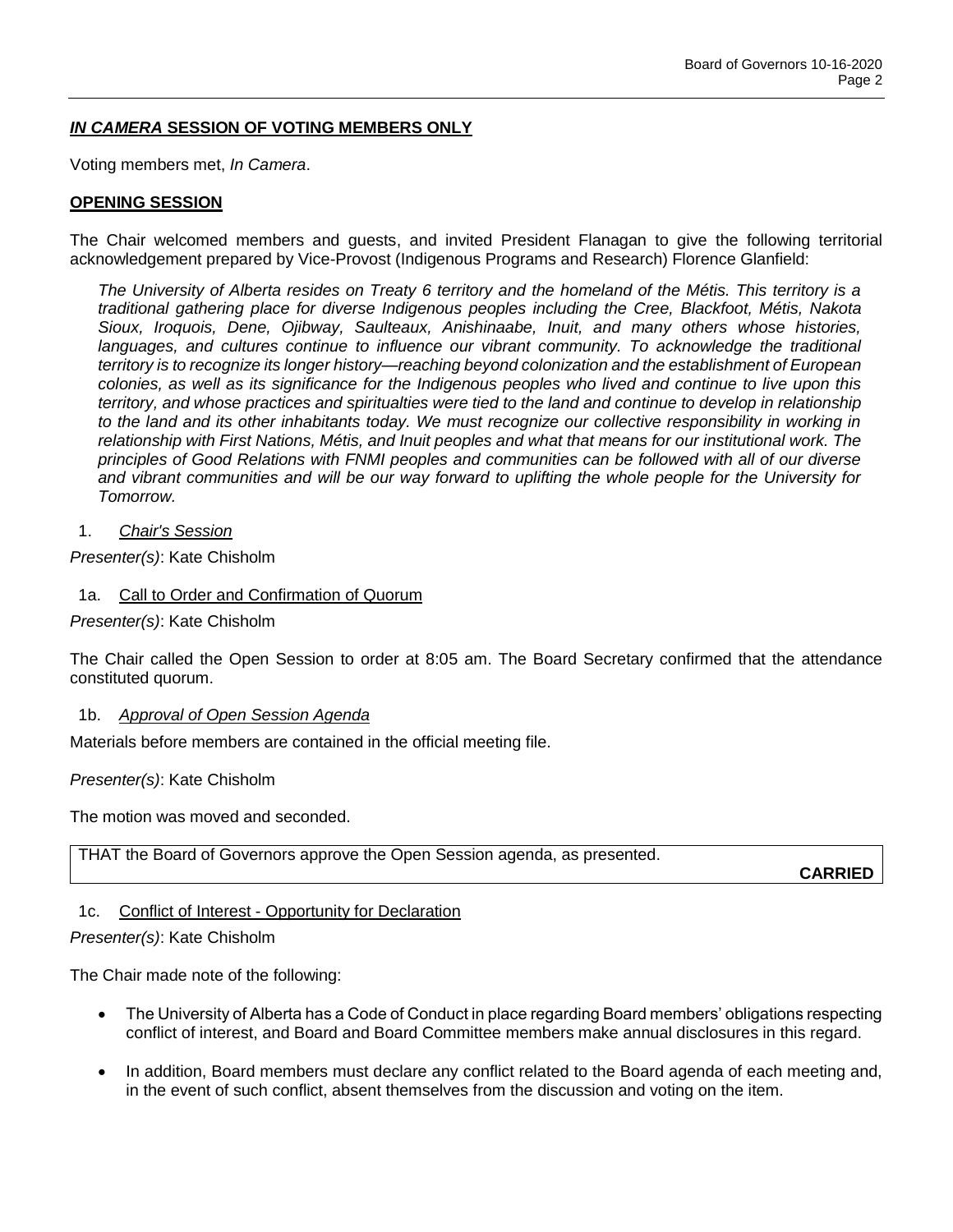# *IN CAMERA* **SESSION OF VOTING MEMBERS ONLY**

Voting members met, *In Camera*.

## **OPENING SESSION**

The Chair welcomed members and guests, and invited President Flanagan to give the following territorial acknowledgement prepared by Vice-Provost (Indigenous Programs and Research) Florence Glanfield:

*The University of Alberta resides on Treaty 6 territory and the homeland of the Métis. This territory is a traditional gathering place for diverse Indigenous peoples including the Cree, Blackfoot, Métis, Nakota Sioux, Iroquois, Dene, Ojibway, Saulteaux, Anishinaabe, Inuit, and many others whose histories,*  languages, and cultures continue to influence our vibrant community. To acknowledge the traditional *territory is to recognize its longer history—reaching beyond colonization and the establishment of European colonies, as well as its significance for the Indigenous peoples who lived and continue to live upon this territory, and whose practices and spiritualties were tied to the land and continue to develop in relationship to the land and its other inhabitants today. We must recognize our collective responsibility in working in relationship with First Nations, Métis, and Inuit peoples and what that means for our institutional work. The principles of Good Relations with FNMI peoples and communities can be followed with all of our diverse and vibrant communities and will be our way forward to uplifting the whole people for the University for Tomorrow.*

1. *Chair's Session*

*Presenter(s)*: Kate Chisholm

- 1a. Call to Order and Confirmation of Quorum
- *Presenter(s)*: Kate Chisholm

The Chair called the Open Session to order at 8:05 am. The Board Secretary confirmed that the attendance constituted quorum.

1b. *Approval of Open Session Agenda*

Materials before members are contained in the official meeting file.

*Presenter(s)*: Kate Chisholm

The motion was moved and seconded.

THAT the Board of Governors approve the Open Session agenda, as presented.

**CARRIED**

## 1c. Conflict of Interest - Opportunity for Declaration

#### *Presenter(s)*: Kate Chisholm

The Chair made note of the following:

- The University of Alberta has a Code of Conduct in place regarding Board members' obligations respecting conflict of interest, and Board and Board Committee members make annual disclosures in this regard.
- In addition, Board members must declare any conflict related to the Board agenda of each meeting and, in the event of such conflict, absent themselves from the discussion and voting on the item.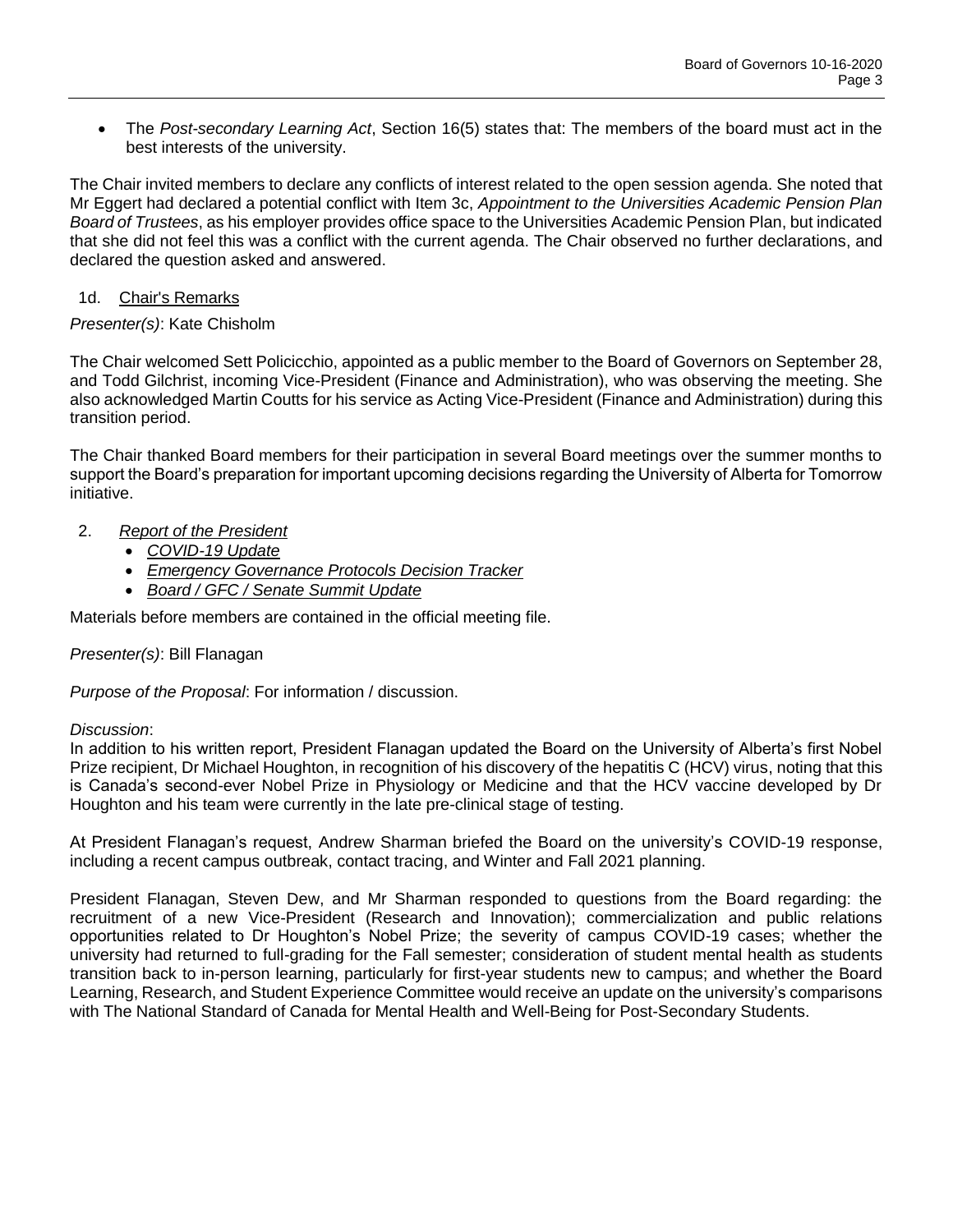The *Post-secondary Learning Act*, Section 16(5) states that: The members of the board must act in the best interests of the university.

The Chair invited members to declare any conflicts of interest related to the open session agenda. She noted that Mr Eggert had declared a potential conflict with Item 3c, *Appointment to the Universities Academic Pension Plan Board of Trustees*, as his employer provides office space to the Universities Academic Pension Plan, but indicated that she did not feel this was a conflict with the current agenda. The Chair observed no further declarations, and declared the question asked and answered.

## 1d. Chair's Remarks

## *Presenter(s)*: Kate Chisholm

The Chair welcomed Sett Policicchio, appointed as a public member to the Board of Governors on September 28, and Todd Gilchrist, incoming Vice-President (Finance and Administration), who was observing the meeting. She also acknowledged Martin Coutts for his service as Acting Vice-President (Finance and Administration) during this transition period.

The Chair thanked Board members for their participation in several Board meetings over the summer months to support the Board's preparation for important upcoming decisions regarding the University of Alberta for Tomorrow initiative.

- 2. *Report of the President*
	- *COVID-19 Update*
	- *Emergency Governance Protocols Decision Tracker*
	- *Board / GFC / Senate Summit Update*

Materials before members are contained in the official meeting file.

## *Presenter(s)*: Bill Flanagan

*Purpose of the Proposal*: For information / discussion.

## *Discussion*:

In addition to his written report, President Flanagan updated the Board on the University of Alberta's first Nobel Prize recipient, Dr Michael Houghton, in recognition of his discovery of the hepatitis C (HCV) virus, noting that this is Canada's second-ever Nobel Prize in Physiology or Medicine and that the HCV vaccine developed by Dr Houghton and his team were currently in the late pre-clinical stage of testing.

At President Flanagan's request, Andrew Sharman briefed the Board on the university's COVID-19 response, including a recent campus outbreak, contact tracing, and Winter and Fall 2021 planning.

President Flanagan, Steven Dew, and Mr Sharman responded to questions from the Board regarding: the recruitment of a new Vice-President (Research and Innovation); commercialization and public relations opportunities related to Dr Houghton's Nobel Prize; the severity of campus COVID-19 cases; whether the university had returned to full-grading for the Fall semester; consideration of student mental health as students transition back to in-person learning, particularly for first-year students new to campus; and whether the Board Learning, Research, and Student Experience Committee would receive an update on the university's comparisons with The National Standard of Canada for Mental Health and Well-Being for Post-Secondary Students.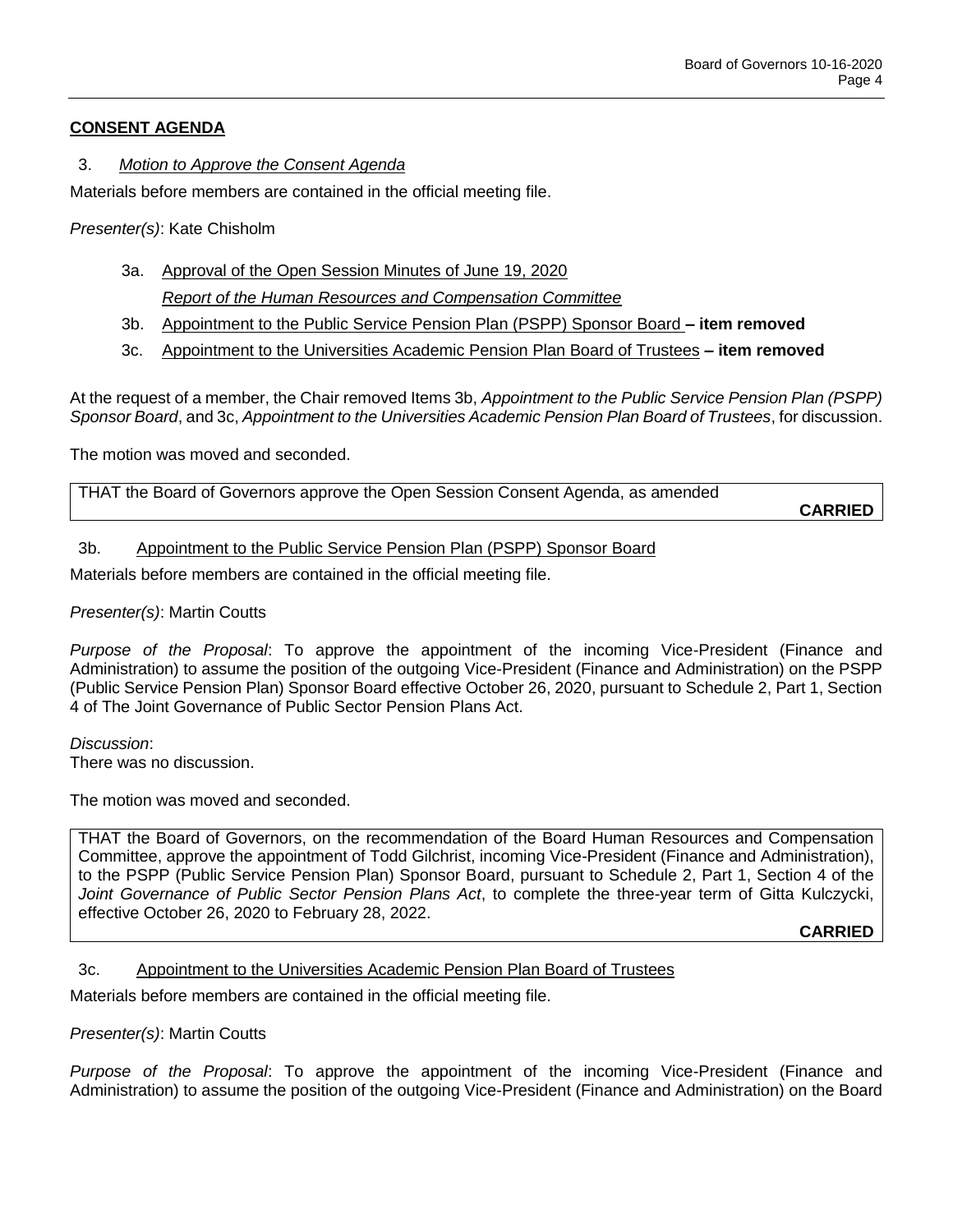## **CONSENT AGENDA**

## 3. *Motion to Approve the Consent Agenda*

Materials before members are contained in the official meeting file.

*Presenter(s)*: Kate Chisholm

- 3a. Approval of the Open Session Minutes of June 19, 2020 *Report of the Human Resources and Compensation Committee*
- 3b. Appointment to the Public Service Pension Plan (PSPP) Sponsor Board **– item removed**
- 3c. Appointment to the Universities Academic Pension Plan Board of Trustees **– item removed**

At the request of a member, the Chair removed Items 3b, *Appointment to the Public Service Pension Plan (PSPP) Sponsor Board*, and 3c, *Appointment to the Universities Academic Pension Plan Board of Trustees*, for discussion.

The motion was moved and seconded.

THAT the Board of Governors approve the Open Session Consent Agenda, as amended

**CARRIED**

## 3b. Appointment to the Public Service Pension Plan (PSPP) Sponsor Board

Materials before members are contained in the official meeting file.

### *Presenter(s)*: Martin Coutts

*Purpose of the Proposal*: To approve the appointment of the incoming Vice-President (Finance and Administration) to assume the position of the outgoing Vice-President (Finance and Administration) on the PSPP (Public Service Pension Plan) Sponsor Board effective October 26, 2020, pursuant to Schedule 2, Part 1, Section 4 of The Joint Governance of Public Sector Pension Plans Act.

*Discussion*: There was no discussion.

The motion was moved and seconded.

THAT the Board of Governors, on the recommendation of the Board Human Resources and Compensation Committee, approve the appointment of Todd Gilchrist, incoming Vice-President (Finance and Administration), to the PSPP (Public Service Pension Plan) Sponsor Board, pursuant to Schedule 2, Part 1, Section 4 of the *Joint Governance of Public Sector Pension Plans Act*, to complete the three-year term of Gitta Kulczycki, effective October 26, 2020 to February 28, 2022.

**CARRIED**

## 3c. Appointment to the Universities Academic Pension Plan Board of Trustees

Materials before members are contained in the official meeting file.

#### *Presenter(s)*: Martin Coutts

*Purpose of the Proposal*: To approve the appointment of the incoming Vice-President (Finance and Administration) to assume the position of the outgoing Vice-President (Finance and Administration) on the Board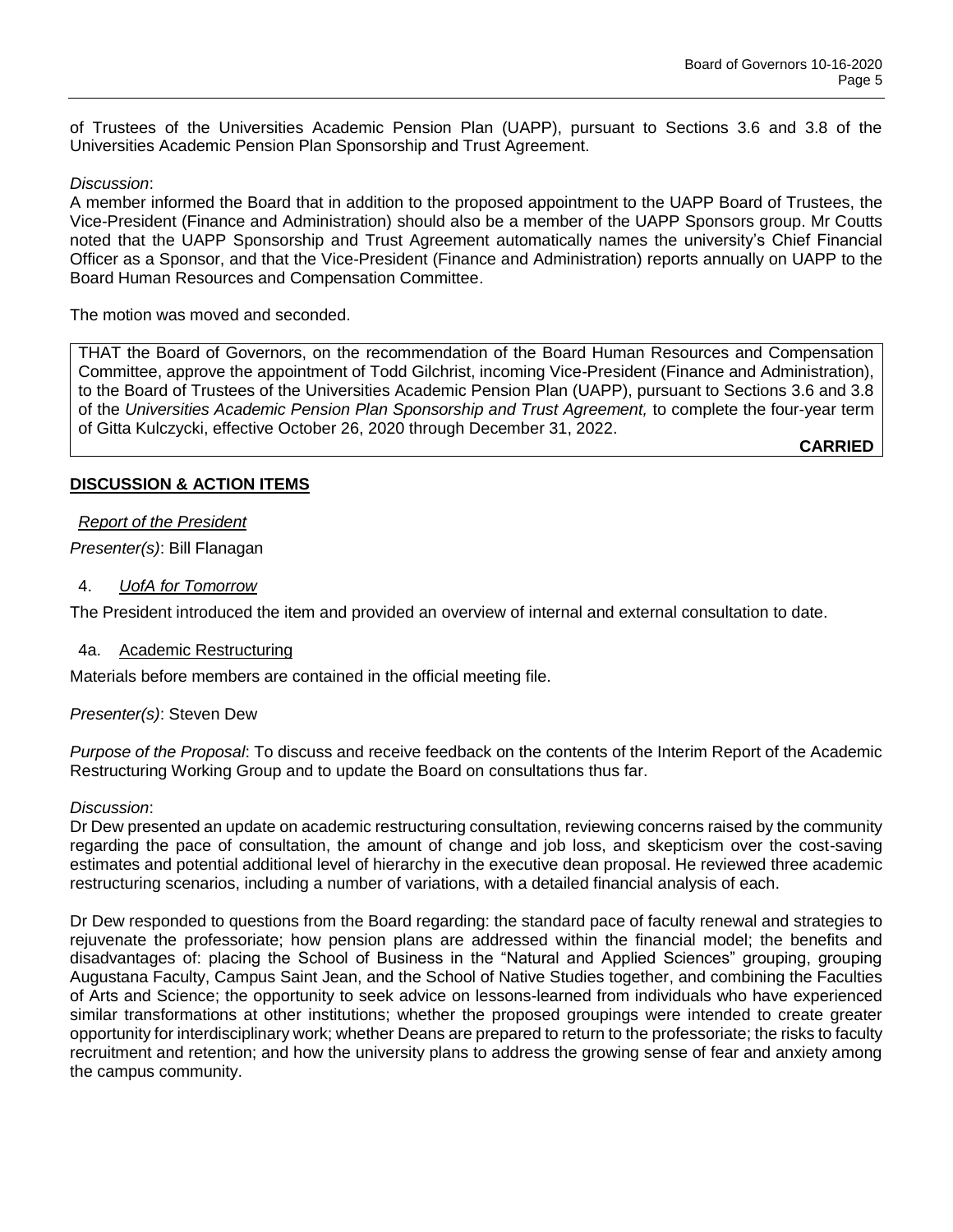of Trustees of the Universities Academic Pension Plan (UAPP), pursuant to Sections 3.6 and 3.8 of the Universities Academic Pension Plan Sponsorship and Trust Agreement.

## *Discussion*:

A member informed the Board that in addition to the proposed appointment to the UAPP Board of Trustees, the Vice-President (Finance and Administration) should also be a member of the UAPP Sponsors group. Mr Coutts noted that the UAPP Sponsorship and Trust Agreement automatically names the university's Chief Financial Officer as a Sponsor, and that the Vice-President (Finance and Administration) reports annually on UAPP to the Board Human Resources and Compensation Committee.

#### The motion was moved and seconded.

THAT the Board of Governors, on the recommendation of the Board Human Resources and Compensation Committee, approve the appointment of Todd Gilchrist, incoming Vice-President (Finance and Administration), to the Board of Trustees of the Universities Academic Pension Plan (UAPP), pursuant to Sections 3.6 and 3.8 of the *Universities Academic Pension Plan Sponsorship and Trust Agreement,* to complete the four-year term of Gitta Kulczycki, effective October 26, 2020 through December 31, 2022.

**CARRIED**

## **DISCUSSION & ACTION ITEMS**

## *Report of the President*

*Presenter(s)*: Bill Flanagan

### 4. *UofA for Tomorrow*

The President introduced the item and provided an overview of internal and external consultation to date.

#### 4a. Academic Restructuring

Materials before members are contained in the official meeting file.

## *Presenter(s)*: Steven Dew

*Purpose of the Proposal*: To discuss and receive feedback on the contents of the Interim Report of the Academic Restructuring Working Group and to update the Board on consultations thus far.

#### *Discussion*:

Dr Dew presented an update on academic restructuring consultation, reviewing concerns raised by the community regarding the pace of consultation, the amount of change and job loss, and skepticism over the cost-saving estimates and potential additional level of hierarchy in the executive dean proposal. He reviewed three academic restructuring scenarios, including a number of variations, with a detailed financial analysis of each.

Dr Dew responded to questions from the Board regarding: the standard pace of faculty renewal and strategies to rejuvenate the professoriate; how pension plans are addressed within the financial model; the benefits and disadvantages of: placing the School of Business in the "Natural and Applied Sciences" grouping, grouping Augustana Faculty, Campus Saint Jean, and the School of Native Studies together, and combining the Faculties of Arts and Science; the opportunity to seek advice on lessons-learned from individuals who have experienced similar transformations at other institutions; whether the proposed groupings were intended to create greater opportunity for interdisciplinary work; whether Deans are prepared to return to the professoriate; the risks to faculty recruitment and retention; and how the university plans to address the growing sense of fear and anxiety among the campus community.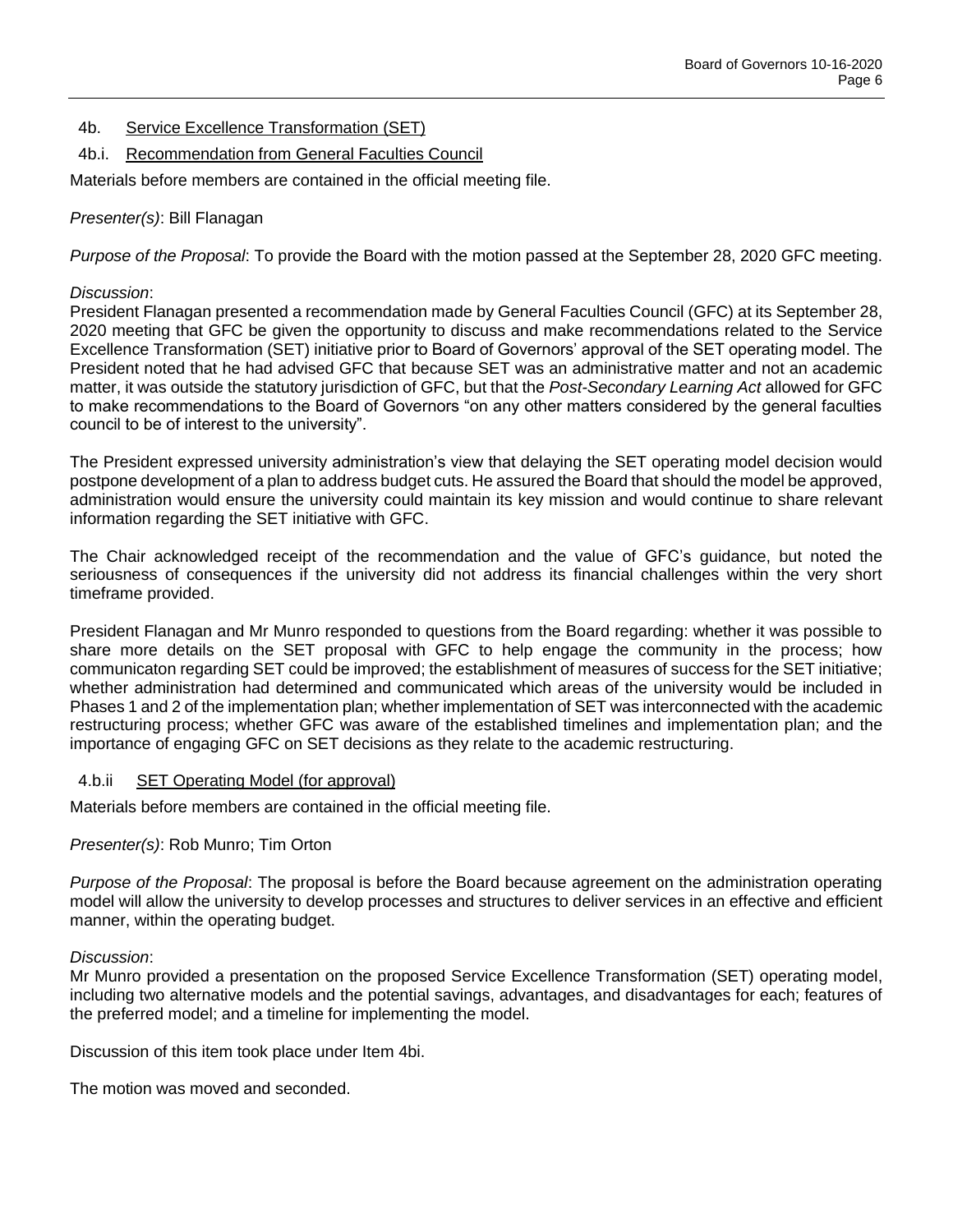- 4b. Service Excellence Transformation (SET)
- 4b.i. Recommendation from General Faculties Council

Materials before members are contained in the official meeting file.

## *Presenter(s)*: Bill Flanagan

*Purpose of the Proposal*: To provide the Board with the motion passed at the September 28, 2020 GFC meeting.

## *Discussion*:

President Flanagan presented a recommendation made by General Faculties Council (GFC) at its September 28, 2020 meeting that GFC be given the opportunity to discuss and make recommendations related to the Service Excellence Transformation (SET) initiative prior to Board of Governors' approval of the SET operating model. The President noted that he had advised GFC that because SET was an administrative matter and not an academic matter, it was outside the statutory jurisdiction of GFC, but that the *Post-Secondary Learning Act* allowed for GFC to make recommendations to the Board of Governors "on any other matters considered by the general faculties council to be of interest to the university".

The President expressed university administration's view that delaying the SET operating model decision would postpone development of a plan to address budget cuts. He assured the Board that should the model be approved, administration would ensure the university could maintain its key mission and would continue to share relevant information regarding the SET initiative with GFC.

The Chair acknowledged receipt of the recommendation and the value of GFC's guidance, but noted the seriousness of consequences if the university did not address its financial challenges within the very short timeframe provided.

President Flanagan and Mr Munro responded to questions from the Board regarding: whether it was possible to share more details on the SET proposal with GFC to help engage the community in the process; how communicaton regarding SET could be improved; the establishment of measures of success for the SET initiative; whether administration had determined and communicated which areas of the university would be included in Phases 1 and 2 of the implementation plan; whether implementation of SET was interconnected with the academic restructuring process; whether GFC was aware of the established timelines and implementation plan; and the importance of engaging GFC on SET decisions as they relate to the academic restructuring.

## 4.b.ii SET Operating Model (for approval)

Materials before members are contained in the official meeting file.

## *Presenter(s)*: Rob Munro; Tim Orton

*Purpose of the Proposal*: The proposal is before the Board because agreement on the administration operating model will allow the university to develop processes and structures to deliver services in an effective and efficient manner, within the operating budget.

#### *Discussion*:

Mr Munro provided a presentation on the proposed Service Excellence Transformation (SET) operating model, including two alternative models and the potential savings, advantages, and disadvantages for each; features of the preferred model; and a timeline for implementing the model.

Discussion of this item took place under Item 4bi.

The motion was moved and seconded.